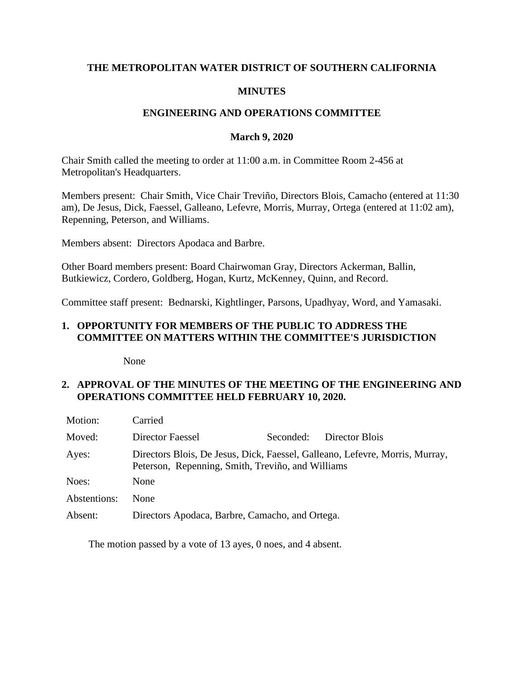## **THE METROPOLITAN WATER DISTRICT OF SOUTHERN CALIFORNIA**

### **MINUTES**

### **ENGINEERING AND OPERATIONS COMMITTEE**

### **March 9, 2020**

Chair Smith called the meeting to order at 11:00 a.m. in Committee Room 2-456 at Metropolitan's Headquarters.

Members present: Chair Smith, Vice Chair Treviño, Directors Blois, Camacho (entered at 11:30 am), De Jesus, Dick, Faessel, Galleano, Lefevre, Morris, Murray, Ortega (entered at 11:02 am), Repenning, Peterson, and Williams.

Members absent: Directors Apodaca and Barbre.

Other Board members present: Board Chairwoman Gray, Directors Ackerman, Ballin, Butkiewicz, Cordero, Goldberg, Hogan, Kurtz, McKenney, Quinn, and Record.

Committee staff present: Bednarski, Kightlinger, Parsons, Upadhyay, Word, and Yamasaki.

### **1. OPPORTUNITY FOR MEMBERS OF THE PUBLIC TO ADDRESS THE COMMITTEE ON MATTERS WITHIN THE COMMITTEE'S JURISDICTION**

None

### **2. APPROVAL OF THE MINUTES OF THE MEETING OF THE ENGINEERING AND OPERATIONS COMMITTEE HELD FEBRUARY 10, 2020.**

| Motion:      | Carried                                                                                                                           |           |                |  |  |
|--------------|-----------------------------------------------------------------------------------------------------------------------------------|-----------|----------------|--|--|
| Moved:       | Director Faessel                                                                                                                  | Seconded: | Director Blois |  |  |
| Ayes:        | Directors Blois, De Jesus, Dick, Faessel, Galleano, Lefevre, Morris, Murray,<br>Peterson, Repenning, Smith, Treviño, and Williams |           |                |  |  |
| Noes:        | None                                                                                                                              |           |                |  |  |
| Abstentions: | <b>None</b>                                                                                                                       |           |                |  |  |
| Absent:      | Directors Apodaca, Barbre, Camacho, and Ortega.                                                                                   |           |                |  |  |

The motion passed by a vote of 13 ayes, 0 noes, and 4 absent.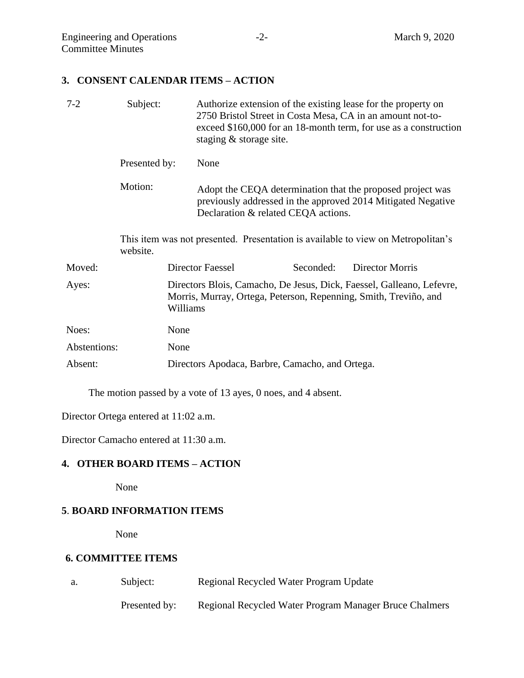**3. CONSENT CALENDAR ITEMS – ACTION** 

| $7 - 2$      | Subject:                                                                                     |                                                                                                                                                       | staging & storage site.                                                                                                                                           |           | Authorize extension of the existing lease for the property on<br>2750 Bristol Street in Costa Mesa, CA in an amount not-to-<br>exceed \$160,000 for an 18-month term, for use as a construction |
|--------------|----------------------------------------------------------------------------------------------|-------------------------------------------------------------------------------------------------------------------------------------------------------|-------------------------------------------------------------------------------------------------------------------------------------------------------------------|-----------|-------------------------------------------------------------------------------------------------------------------------------------------------------------------------------------------------|
|              | Presented by:                                                                                |                                                                                                                                                       | None                                                                                                                                                              |           |                                                                                                                                                                                                 |
|              | Motion:                                                                                      |                                                                                                                                                       | Adopt the CEQA determination that the proposed project was<br>previously addressed in the approved 2014 Mitigated Negative<br>Declaration & related CEQA actions. |           |                                                                                                                                                                                                 |
|              | This item was not presented. Presentation is available to view on Metropolitan's<br>website. |                                                                                                                                                       |                                                                                                                                                                   |           |                                                                                                                                                                                                 |
| Moved:       |                                                                                              |                                                                                                                                                       | Director Faessel                                                                                                                                                  | Seconded: | Director Morris                                                                                                                                                                                 |
| Ayes:        |                                                                                              | Directors Blois, Camacho, De Jesus, Dick, Faessel, Galleano, Lefevre,<br>Morris, Murray, Ortega, Peterson, Repenning, Smith, Treviño, and<br>Williams |                                                                                                                                                                   |           |                                                                                                                                                                                                 |
| Noes:        |                                                                                              | None                                                                                                                                                  |                                                                                                                                                                   |           |                                                                                                                                                                                                 |
| Abstentions: |                                                                                              | None                                                                                                                                                  |                                                                                                                                                                   |           |                                                                                                                                                                                                 |
| Absent:      |                                                                                              |                                                                                                                                                       | Directors Apodaca, Barbre, Camacho, and Ortega.                                                                                                                   |           |                                                                                                                                                                                                 |

The motion passed by a vote of 13 ayes, 0 noes, and 4 absent.

Director Ortega entered at 11:02 a.m.

Director Camacho entered at 11:30 a.m.

## **4. OTHER BOARD ITEMS – ACTION**

None

## **5**. **BOARD INFORMATION ITEMS**

None

## **6. COMMITTEE ITEMS**

| a. | Subject:      | Regional Recycled Water Program Update                 |
|----|---------------|--------------------------------------------------------|
|    | Presented by: | Regional Recycled Water Program Manager Bruce Chalmers |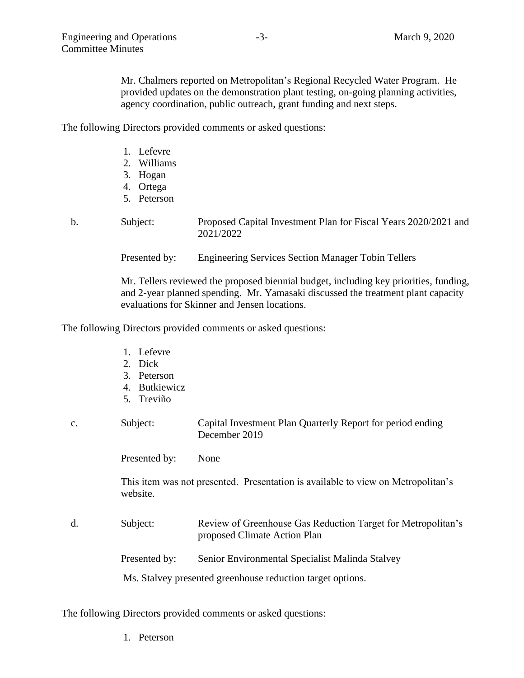Mr. Chalmers reported on Metropolitan's Regional Recycled Water Program. He provided updates on the demonstration plant testing, on-going planning activities, agency coordination, public outreach, grant funding and next steps.

The following Directors provided comments or asked questions:

- 1. Lefevre
- 2. Williams
- 3. Hogan
- 4. Ortega
- 5. Peterson

b. Subject: Proposed Capital Investment Plan for Fiscal Years 2020/2021 and 2021/2022

Presented by: Engineering Services Section Manager Tobin Tellers

Mr. Tellers reviewed the proposed biennial budget, including key priorities, funding, and 2-year planned spending. Mr. Yamasaki discussed the treatment plant capacity evaluations for Skinner and Jensen locations.

The following Directors provided comments or asked questions:

- 1. Lefevre
- 2. Dick
- 3. Peterson
- 4. Butkiewicz
- 5. Treviño

#### c. Subject: Capital Investment Plan Quarterly Report for period ending December 2019

Presented by: None

This item was not presented. Presentation is available to view on Metropolitan's website.

- d. Subject: Review of Greenhouse Gas Reduction Target for Metropolitan's proposed Climate Action Plan
	- Presented by: Senior Environmental Specialist Malinda Stalvey

Ms. Stalvey presented greenhouse reduction target options.

The following Directors provided comments or asked questions:

1. Peterson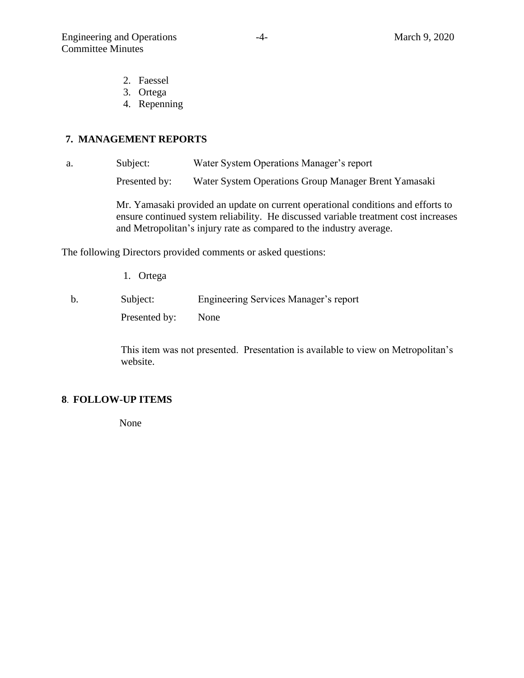- 2. Faessel
- 3. Ortega
- 4. Repenning

### **7. MANAGEMENT REPORTS**

a. Subject: Water System Operations Manager's report

Presented by: Water System Operations Group Manager Brent Yamasaki

Mr. Yamasaki provided an update on current operational conditions and efforts to ensure continued system reliability. He discussed variable treatment cost increases and Metropolitan's injury rate as compared to the industry average.

The following Directors provided comments or asked questions:

1. Ortega

b. Subject: Engineering Services Manager's report Presented by: None

> This item was not presented. Presentation is available to view on Metropolitan's website.

## **8**. **FOLLOW-UP ITEMS**

None